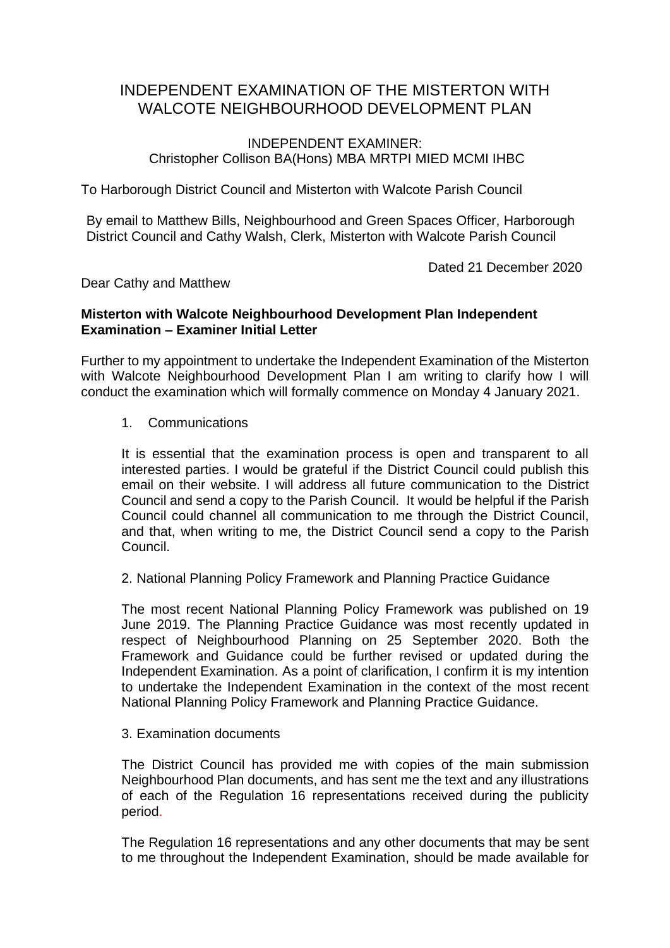# INDEPENDENT EXAMINATION OF THE MISTERTON WITH WALCOTE NEIGHBOURHOOD DEVELOPMENT PLAN

## INDEPENDENT EXAMINER: Christopher Collison BA(Hons) MBA MRTPI MIED MCMI IHBC

To Harborough District Council and Misterton with Walcote Parish Council

By email to Matthew Bills, Neighbourhood and Green Spaces Officer, Harborough District Council and Cathy Walsh, Clerk, Misterton with Walcote Parish Council

Dated 21 December 2020

Dear Cathy and Matthew

## **Misterton with Walcote Neighbourhood Development Plan Independent Examination – Examiner Initial Letter**

Further to my appointment to undertake the Independent Examination of the Misterton with Walcote Neighbourhood Development Plan I am writing to clarify how I will conduct the examination which will formally commence on Monday 4 January 2021.

## 1. Communications

It is essential that the examination process is open and transparent to all interested parties. I would be grateful if the District Council could publish this email on their website. I will address all future communication to the District Council and send a copy to the Parish Council. It would be helpful if the Parish Council could channel all communication to me through the District Council, and that, when writing to me, the District Council send a copy to the Parish Council.

2. National Planning Policy Framework and Planning Practice Guidance

The most recent National Planning Policy Framework was published on 19 June 2019. The Planning Practice Guidance was most recently updated in respect of Neighbourhood Planning on 25 September 2020. Both the Framework and Guidance could be further revised or updated during the Independent Examination. As a point of clarification, I confirm it is my intention to undertake the Independent Examination in the context of the most recent National Planning Policy Framework and Planning Practice Guidance.

3. Examination documents

The District Council has provided me with copies of the main submission Neighbourhood Plan documents, and has sent me the text and any illustrations of each of the Regulation 16 representations received during the publicity period.

The Regulation 16 representations and any other documents that may be sent to me throughout the Independent Examination, should be made available for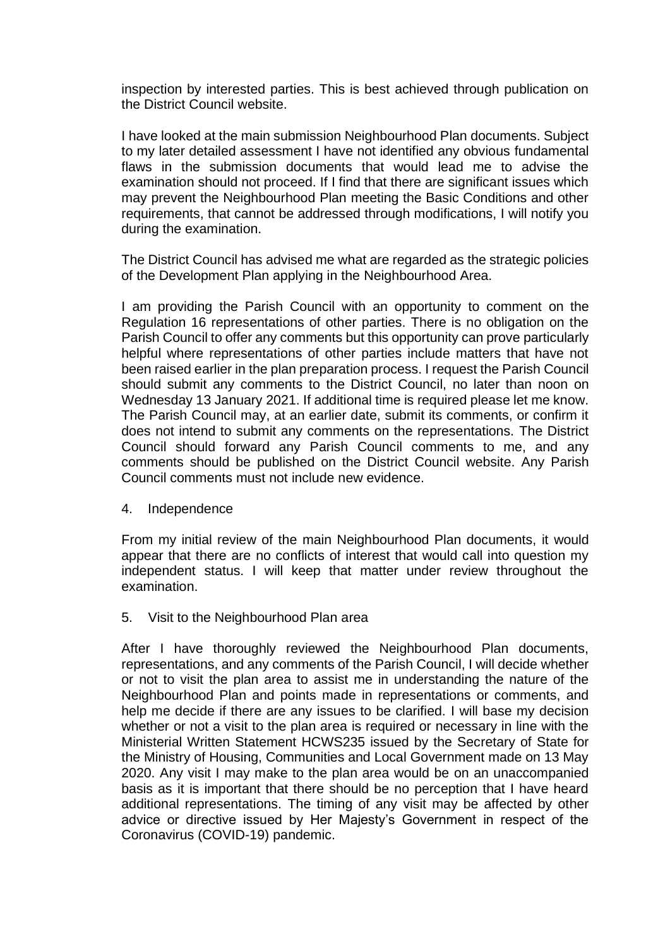inspection by interested parties. This is best achieved through publication on the District Council website.

I have looked at the main submission Neighbourhood Plan documents. Subject to my later detailed assessment I have not identified any obvious fundamental flaws in the submission documents that would lead me to advise the examination should not proceed. If I find that there are significant issues which may prevent the Neighbourhood Plan meeting the Basic Conditions and other requirements, that cannot be addressed through modifications, I will notify you during the examination.

The District Council has advised me what are regarded as the strategic policies of the Development Plan applying in the Neighbourhood Area.

I am providing the Parish Council with an opportunity to comment on the Regulation 16 representations of other parties. There is no obligation on the Parish Council to offer any comments but this opportunity can prove particularly helpful where representations of other parties include matters that have not been raised earlier in the plan preparation process. I request the Parish Council should submit any comments to the District Council, no later than noon on Wednesday 13 January 2021. If additional time is required please let me know. The Parish Council may, at an earlier date, submit its comments, or confirm it does not intend to submit any comments on the representations. The District Council should forward any Parish Council comments to me, and any comments should be published on the District Council website. Any Parish Council comments must not include new evidence.

#### 4. Independence

From my initial review of the main Neighbourhood Plan documents, it would appear that there are no conflicts of interest that would call into question my independent status. I will keep that matter under review throughout the examination.

#### 5. Visit to the Neighbourhood Plan area

After I have thoroughly reviewed the Neighbourhood Plan documents, representations, and any comments of the Parish Council, I will decide whether or not to visit the plan area to assist me in understanding the nature of the Neighbourhood Plan and points made in representations or comments, and help me decide if there are any issues to be clarified. I will base my decision whether or not a visit to the plan area is required or necessary in line with the Ministerial Written Statement HCWS235 issued by the Secretary of State for the Ministry of Housing, Communities and Local Government made on 13 May 2020. Any visit I may make to the plan area would be on an unaccompanied basis as it is important that there should be no perception that I have heard additional representations. The timing of any visit may be affected by other advice or directive issued by Her Majesty's Government in respect of the Coronavirus (COVID-19) pandemic.